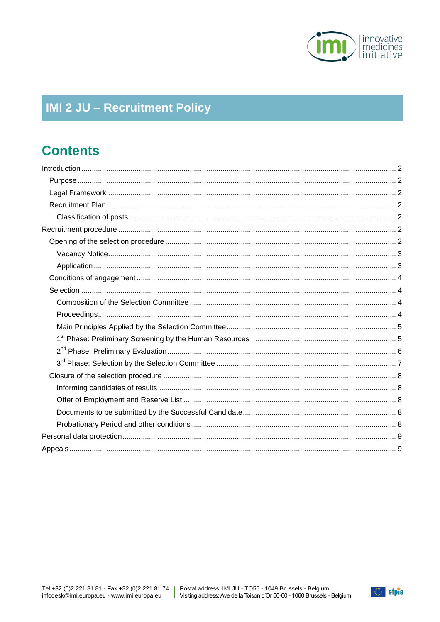

# **IMI 2 JU - Recruitment Policy**

# **Contents**

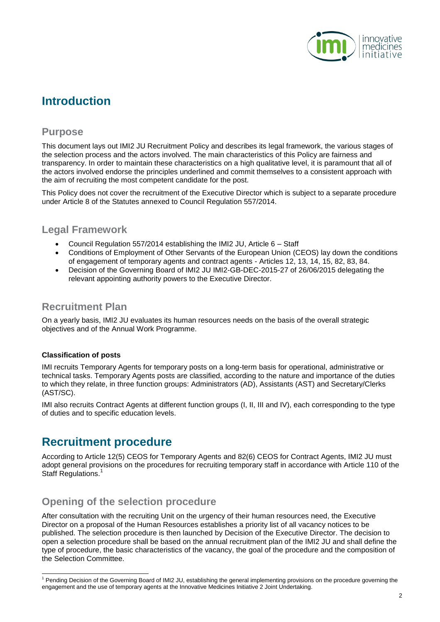

# <span id="page-1-0"></span>**Introduction**

### <span id="page-1-1"></span>**Purpose**

This document lays out IMI2 JU Recruitment Policy and describes its legal framework, the various stages of the selection process and the actors involved. The main characteristics of this Policy are fairness and transparency. In order to maintain these characteristics on a high qualitative level, it is paramount that all of the actors involved endorse the principles underlined and commit themselves to a consistent approach with the aim of recruiting the most competent candidate for the post.

This Policy does not cover the recruitment of the Executive Director which is subject to a separate procedure under Article 8 of the Statutes annexed to Council Regulation 557/2014.

### <span id="page-1-2"></span>**Legal Framework**

- Council Regulation 557/2014 establishing the IMI2 JU, Article 6 Staff
- Conditions of Employment of Other Servants of the European Union (CEOS) lay down the conditions of engagement of temporary agents and contract agents - Articles 12, 13, 14, 15, 82, 83, 84.
- Decision of the Governing Board of IMI2 JU IMI2-GB-DEC-2015-27 of 26/06/2015 delegating the relevant appointing authority powers to the Executive Director.

### <span id="page-1-3"></span>**Recruitment Plan**

On a yearly basis, IMI2 JU evaluates its human resources needs on the basis of the overall strategic objectives and of the Annual Work Programme.

#### <span id="page-1-4"></span>**Classification of posts**

l

IMI recruits Temporary Agents for temporary posts on a long-term basis for operational, administrative or technical tasks. Temporary Agents posts are classified, according to the nature and importance of the duties to which they relate, in three function groups: Administrators (AD), Assistants (AST) and Secretary/Clerks (AST/SC).

IMI also recruits Contract Agents at different function groups (I, II, III and IV), each corresponding to the type of duties and to specific education levels.

## <span id="page-1-5"></span>**Recruitment procedure**

According to Article 12(5) CEOS for Temporary Agents and 82(6) CEOS for Contract Agents, IMI2 JU must adopt general provisions on the procedures for recruiting temporary staff in accordance with Article 110 of the Staff Regulations.<sup>1</sup>

## <span id="page-1-6"></span>**Opening of the selection procedure**

After consultation with the recruiting Unit on the urgency of their human resources need, the Executive Director on a proposal of the Human Resources establishes a priority list of all vacancy notices to be published. The selection procedure is then launched by Decision of the Executive Director. The decision to open a selection procedure shall be based on the annual recruitment plan of the IMI2 JU and shall define the type of procedure, the basic characteristics of the vacancy, the goal of the procedure and the composition of the Selection Committee.

<sup>&</sup>lt;sup>1</sup> Pending Decision of the Governing Board of IMI2 JU, establishing the general implementing provisions on the procedure governing the engagement and the use of temporary agents at the Innovative Medicines Initiative 2 Joint Undertaking.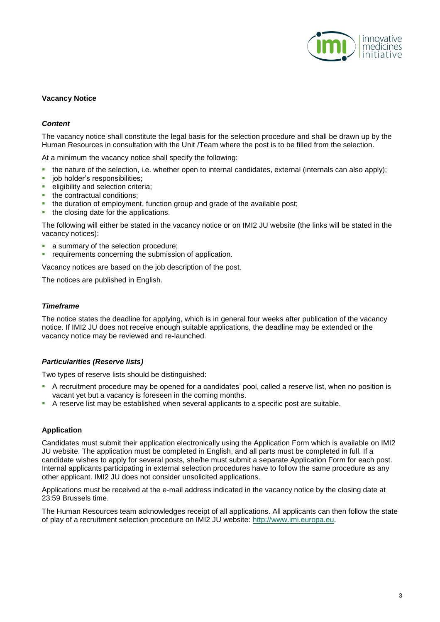

#### <span id="page-2-0"></span>**Vacancy Notice**

#### *Content*

The vacancy notice shall constitute the legal basis for the selection procedure and shall be drawn up by the Human Resources in consultation with the Unit /Team where the post is to be filled from the selection.

At a minimum the vacancy notice shall specify the following:

- $\bullet$  the nature of the selection, i.e. whether open to internal candidates, external (internals can also apply);
- job holder's responsibilities;
- eligibility and selection criteria;
- the contractual conditions;
- the duration of employment, function group and grade of the available post;
- the closing date for the applications.

The following will either be stated in the vacancy notice or on IMI2 JU website (the links will be stated in the vacancy notices):

- **a** summary of the selection procedure;
- **•** requirements concerning the submission of application.

Vacancy notices are based on the job description of the post.

The notices are published in English.

#### *Timeframe*

The notice states the deadline for applying, which is in general four weeks after publication of the vacancy notice. If IMI2 JU does not receive enough suitable applications, the deadline may be extended or the vacancy notice may be reviewed and re-launched.

#### *Particularities (Reserve lists)*

Two types of reserve lists should be distinguished:

- A recruitment procedure may be opened for a candidates' pool, called a reserve list, when no position is vacant yet but a vacancy is foreseen in the coming months.
- <span id="page-2-1"></span>A reserve list may be established when several applicants to a specific post are suitable.

#### **Application**

Candidates must submit their application electronically using the Application Form which is available on IMI2 JU website. The application must be completed in English, and all parts must be completed in full. If a candidate wishes to apply for several posts, she/he must submit a separate Application Form for each post. Internal applicants participating in external selection procedures have to follow the same procedure as any other applicant. IMI2 JU does not consider unsolicited applications.

Applications must be received at the e-mail address indicated in the vacancy notice by the closing date at 23:59 Brussels time.

The Human Resources team acknowledges receipt of all applications. All applicants can then follow the state of play of a recruitment selection procedure on IMI2 JU website: [http://www.imi.europa.eu.](http://www.imi.europa.eu/)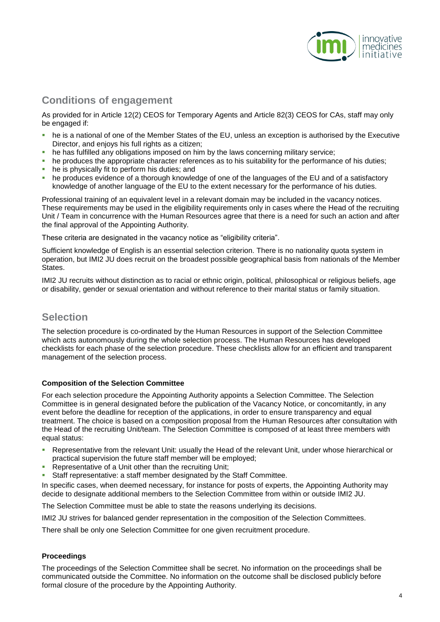

## <span id="page-3-0"></span>**Conditions of engagement**

As provided for in Article 12(2) CEOS for Temporary Agents and Article 82(3) CEOS for CAs, staff may only be engaged if:

- he is a national of one of the Member States of the EU, unless an exception is authorised by the Executive Director, and enjoys his full rights as a citizen;
- he has fulfilled any obligations imposed on him by the laws concerning military service;
- he produces the appropriate character references as to his suitability for the performance of his duties;
- he is physically fit to perform his duties; and
- he produces evidence of a thorough knowledge of one of the languages of the EU and of a satisfactory knowledge of another language of the EU to the extent necessary for the performance of his duties.

Professional training of an equivalent level in a relevant domain may be included in the vacancy notices. These requirements may be used in the eligibility requirements only in cases where the Head of the recruiting Unit / Team in concurrence with the Human Resources agree that there is a need for such an action and after the final approval of the Appointing Authority.

These criteria are designated in the vacancy notice as "eligibility criteria".

Sufficient knowledge of English is an essential selection criterion. There is no nationality quota system in operation, but IMI2 JU does recruit on the broadest possible geographical basis from nationals of the Member States.

IMI2 JU recruits without distinction as to racial or ethnic origin, political, philosophical or religious beliefs, age or disability, gender or sexual orientation and without reference to their marital status or family situation.

### <span id="page-3-1"></span>**Selection**

The selection procedure is co-ordinated by the Human Resources in support of the Selection Committee which acts autonomously during the whole selection process. The Human Resources has developed checklists for each phase of the selection procedure. These checklists allow for an efficient and transparent management of the selection process.

#### <span id="page-3-2"></span>**Composition of the Selection Committee**

For each selection procedure the Appointing Authority appoints a Selection Committee. The Selection Committee is in general designated before the publication of the Vacancy Notice, or concomitantly, in any event before the deadline for reception of the applications, in order to ensure transparency and equal treatment. The choice is based on a composition proposal from the Human Resources after consultation with the Head of the recruiting Unit/team. The Selection Committee is composed of at least three members with equal status:

- Representative from the relevant Unit: usually the Head of the relevant Unit, under whose hierarchical or practical supervision the future staff member will be employed;
- Representative of a Unit other than the recruiting Unit;
- Staff representative: a staff member designated by the Staff Committee.

In specific cases, when deemed necessary, for instance for posts of experts, the Appointing Authority may decide to designate additional members to the Selection Committee from within or outside IMI2 JU.

The Selection Committee must be able to state the reasons underlying its decisions.

IMI2 JU strives for balanced gender representation in the composition of the Selection Committees.

<span id="page-3-3"></span>There shall be only one Selection Committee for one given recruitment procedure.

#### **Proceedings**

The proceedings of the Selection Committee shall be secret. No information on the proceedings shall be communicated outside the Committee. No information on the outcome shall be disclosed publicly before formal closure of the procedure by the Appointing Authority.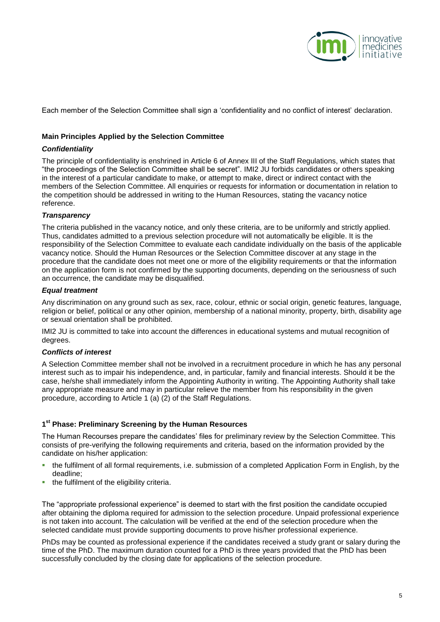

Each member of the Selection Committee shall sign a 'confidentiality and no conflict of interest' declaration.

#### <span id="page-4-0"></span>**Main Principles Applied by the Selection Committee**

#### *Confidentiality*

The principle of confidentiality is enshrined in Article 6 of Annex III of the Staff Regulations, which states that "the proceedings of the Selection Committee shall be secret". IMI2 JU forbids candidates or others speaking in the interest of a particular candidate to make, or attempt to make, direct or indirect contact with the members of the Selection Committee. All enquiries or requests for information or documentation in relation to the competition should be addressed in writing to the Human Resources, stating the vacancy notice reference.

#### *Transparency*

The criteria published in the vacancy notice, and only these criteria, are to be uniformly and strictly applied. Thus, candidates admitted to a previous selection procedure will not automatically be eligible. It is the responsibility of the Selection Committee to evaluate each candidate individually on the basis of the applicable vacancy notice. Should the Human Resources or the Selection Committee discover at any stage in the procedure that the candidate does not meet one or more of the eligibility requirements or that the information on the application form is not confirmed by the supporting documents, depending on the seriousness of such an occurrence, the candidate may be disqualified.

#### *Equal treatment*

Any discrimination on any ground such as sex, race, colour, ethnic or social origin, genetic features, language, religion or belief, political or any other opinion, membership of a national minority, property, birth, disability age or sexual orientation shall be prohibited.

IMI2 JU is committed to take into account the differences in educational systems and mutual recognition of degrees.

#### *Conflicts of interest*

A Selection Committee member shall not be involved in a recruitment procedure in which he has any personal interest such as to impair his independence, and, in particular, family and financial interests. Should it be the case, he/she shall immediately inform the Appointing Authority in writing. The Appointing Authority shall take any appropriate measure and may in particular relieve the member from his responsibility in the given procedure, according to Article 1 (a) (2) of the Staff Regulations.

#### <span id="page-4-1"></span>**1 st Phase: Preliminary Screening by the Human Resources**

The Human Recourses prepare the candidates' files for preliminary review by the Selection Committee. This consists of pre-verifying the following requirements and criteria, based on the information provided by the candidate on his/her application:

- the fulfilment of all formal requirements, i.e. submission of a completed Application Form in English, by the deadline;
- **the fulfilment of the eligibility criteria.**

The "appropriate professional experience" is deemed to start with the first position the candidate occupied after obtaining the diploma required for admission to the selection procedure. Unpaid professional experience is not taken into account. The calculation will be verified at the end of the selection procedure when the selected candidate must provide supporting documents to prove his/her professional experience.

PhDs may be counted as professional experience if the candidates received a study grant or salary during the time of the PhD. The maximum duration counted for a PhD is three years provided that the PhD has been successfully concluded by the closing date for applications of the selection procedure.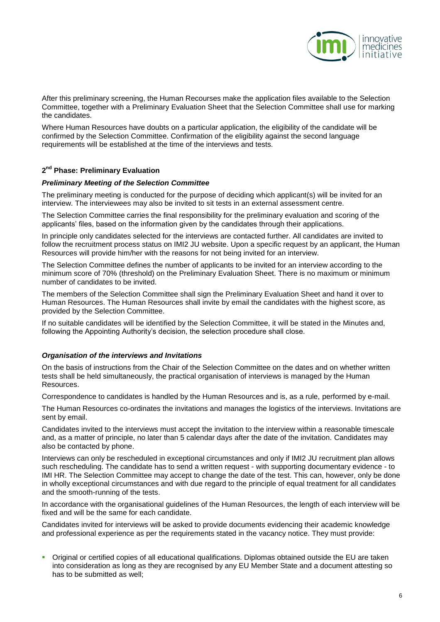

After this preliminary screening, the Human Recourses make the application files available to the Selection Committee, together with a Preliminary Evaluation Sheet that the Selection Committee shall use for marking the candidates.

Where Human Resources have doubts on a particular application, the eligibility of the candidate will be confirmed by the Selection Committee. Confirmation of the eligibility against the second language requirements will be established at the time of the interviews and tests.

#### <span id="page-5-0"></span>**2 nd Phase: Preliminary Evaluation**

#### *Preliminary Meeting of the Selection Committee*

The preliminary meeting is conducted for the purpose of deciding which applicant(s) will be invited for an interview. The interviewees may also be invited to sit tests in an external assessment centre.

The Selection Committee carries the final responsibility for the preliminary evaluation and scoring of the applicants' files, based on the information given by the candidates through their applications.

In principle only candidates selected for the interviews are contacted further. All candidates are invited to follow the recruitment process status on IMI2 JU website. Upon a specific request by an applicant, the Human Resources will provide him/her with the reasons for not being invited for an interview.

The Selection Committee defines the number of applicants to be invited for an interview according to the minimum score of 70% (threshold) on the Preliminary Evaluation Sheet. There is no maximum or minimum number of candidates to be invited.

The members of the Selection Committee shall sign the Preliminary Evaluation Sheet and hand it over to Human Resources. The Human Resources shall invite by email the candidates with the highest score, as provided by the Selection Committee.

If no suitable candidates will be identified by the Selection Committee, it will be stated in the Minutes and, following the Appointing Authority's decision, the selection procedure shall close.

#### *Organisation of the interviews and Invitations*

On the basis of instructions from the Chair of the Selection Committee on the dates and on whether written tests shall be held simultaneously, the practical organisation of interviews is managed by the Human Resources.

Correspondence to candidates is handled by the Human Resources and is, as a rule, performed by e-mail.

The Human Resources co-ordinates the invitations and manages the logistics of the interviews. Invitations are sent by email.

Candidates invited to the interviews must accept the invitation to the interview within a reasonable timescale and, as a matter of principle, no later than 5 calendar days after the date of the invitation. Candidates may also be contacted by phone.

Interviews can only be rescheduled in exceptional circumstances and only if IMI2 JU recruitment plan allows such rescheduling. The candidate has to send a written request - with supporting documentary evidence - to IMI HR. The Selection Committee may accept to change the date of the test. This can, however, only be done in wholly exceptional circumstances and with due regard to the principle of equal treatment for all candidates and the smooth-running of the tests.

In accordance with the organisational guidelines of the Human Resources, the length of each interview will be fixed and will be the same for each candidate.

Candidates invited for interviews will be asked to provide documents evidencing their academic knowledge and professional experience as per the requirements stated in the vacancy notice. They must provide:

 Original or certified copies of all educational qualifications. Diplomas obtained outside the EU are taken into consideration as long as they are recognised by any EU Member State and a document attesting so has to be submitted as well;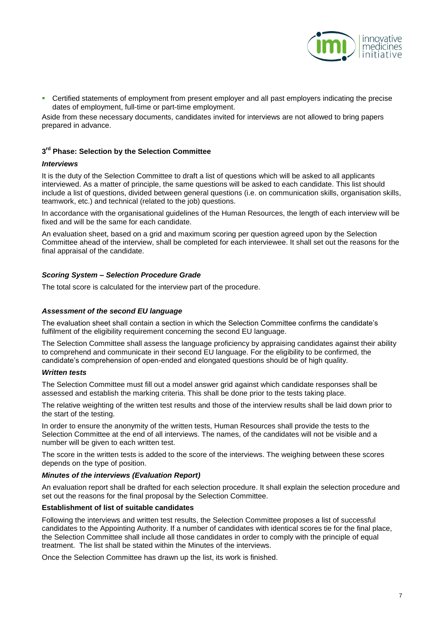

 Certified statements of employment from present employer and all past employers indicating the precise dates of employment, full-time or part-time employment.

Aside from these necessary documents, candidates invited for interviews are not allowed to bring papers prepared in advance.

#### <span id="page-6-0"></span>**3 rd Phase: Selection by the Selection Committee**

#### *Interviews*

It is the duty of the Selection Committee to draft a list of questions which will be asked to all applicants interviewed. As a matter of principle, the same questions will be asked to each candidate. This list should include a list of questions, divided between general questions (i.e. on communication skills, organisation skills, teamwork, etc.) and technical (related to the job) questions.

In accordance with the organisational guidelines of the Human Resources, the length of each interview will be fixed and will be the same for each candidate.

An evaluation sheet, based on a grid and maximum scoring per question agreed upon by the Selection Committee ahead of the interview, shall be completed for each interviewee. It shall set out the reasons for the final appraisal of the candidate.

#### *Scoring System – Selection Procedure Grade*

The total score is calculated for the interview part of the procedure.

#### *Assessment of the second EU language*

The evaluation sheet shall contain a section in which the Selection Committee confirms the candidate's fulfilment of the eligibility requirement concerning the second EU language.

The Selection Committee shall assess the language proficiency by appraising candidates against their ability to comprehend and communicate in their second EU language. For the eligibility to be confirmed, the candidate's comprehension of open-ended and elongated questions should be of high quality.

#### *Written tests*

The Selection Committee must fill out a model answer grid against which candidate responses shall be assessed and establish the marking criteria. This shall be done prior to the tests taking place.

The relative weighting of the written test results and those of the interview results shall be laid down prior to the start of the testing.

In order to ensure the anonymity of the written tests, Human Resources shall provide the tests to the Selection Committee at the end of all interviews. The names, of the candidates will not be visible and a number will be given to each written test.

The score in the written tests is added to the score of the interviews. The weighing between these scores depends on the type of position.

#### *Minutes of the interviews (Evaluation Report)*

An evaluation report shall be drafted for each selection procedure. It shall explain the selection procedure and set out the reasons for the final proposal by the Selection Committee.

#### **Establishment of list of suitable candidates**

Following the interviews and written test results, the Selection Committee proposes a list of successful candidates to the Appointing Authority. If a number of candidates with identical scores tie for the final place, the Selection Committee shall include all those candidates in order to comply with the principle of equal treatment. The list shall be stated within the Minutes of the interviews.

Once the Selection Committee has drawn up the list, its work is finished.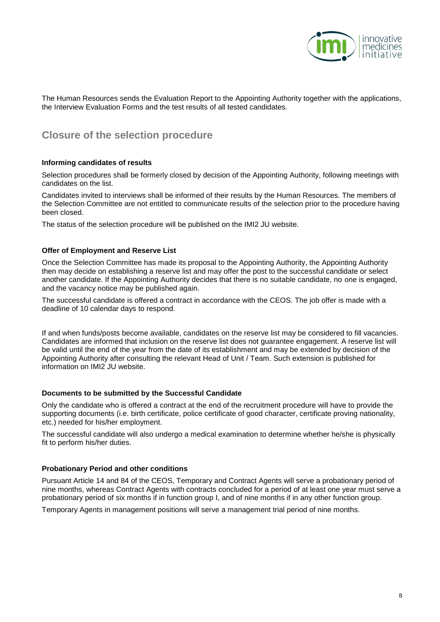

The Human Resources sends the Evaluation Report to the Appointing Authority together with the applications, the Interview Evaluation Forms and the test results of all tested candidates.

### <span id="page-7-0"></span>**Closure of the selection procedure**

#### <span id="page-7-1"></span>**Informing candidates of results**

Selection procedures shall be formerly closed by decision of the Appointing Authority, following meetings with candidates on the list.

Candidates invited to interviews shall be informed of their results by the Human Resources. The members of the Selection Committee are not entitled to communicate results of the selection prior to the procedure having been closed.

<span id="page-7-2"></span>The status of the selection procedure will be published on the IMI2 JU website.

#### **Offer of Employment and Reserve List**

Once the Selection Committee has made its proposal to the Appointing Authority, the Appointing Authority then may decide on establishing a reserve list and may offer the post to the successful candidate or select another candidate. If the Appointing Authority decides that there is no suitable candidate, no one is engaged, and the vacancy notice may be published again.

The successful candidate is offered a contract in accordance with the CEOS. The job offer is made with a deadline of 10 calendar days to respond.

If and when funds/posts become available, candidates on the reserve list may be considered to fill vacancies. Candidates are informed that inclusion on the reserve list does not guarantee engagement. A reserve list will be valid until the end of the year from the date of its establishment and may be extended by decision of the Appointing Authority after consulting the relevant Head of Unit / Team. Such extension is published for information on IMI2 JU website.

#### <span id="page-7-3"></span>**Documents to be submitted by the Successful Candidate**

Only the candidate who is offered a contract at the end of the recruitment procedure will have to provide the supporting documents (i.e. birth certificate, police certificate of good character, certificate proving nationality, etc.) needed for his/her employment.

The successful candidate will also undergo a medical examination to determine whether he/she is physically fit to perform his/her duties.

#### <span id="page-7-4"></span>**Probationary Period and other conditions**

Pursuant Article 14 and 84 of the CEOS, Temporary and Contract Agents will serve a probationary period of nine months, whereas Contract Agents with contracts concluded for a period of at least one year must serve a probationary period of six months if in function group I, and of nine months if in any other function group.

Temporary Agents in management positions will serve a management trial period of nine months.